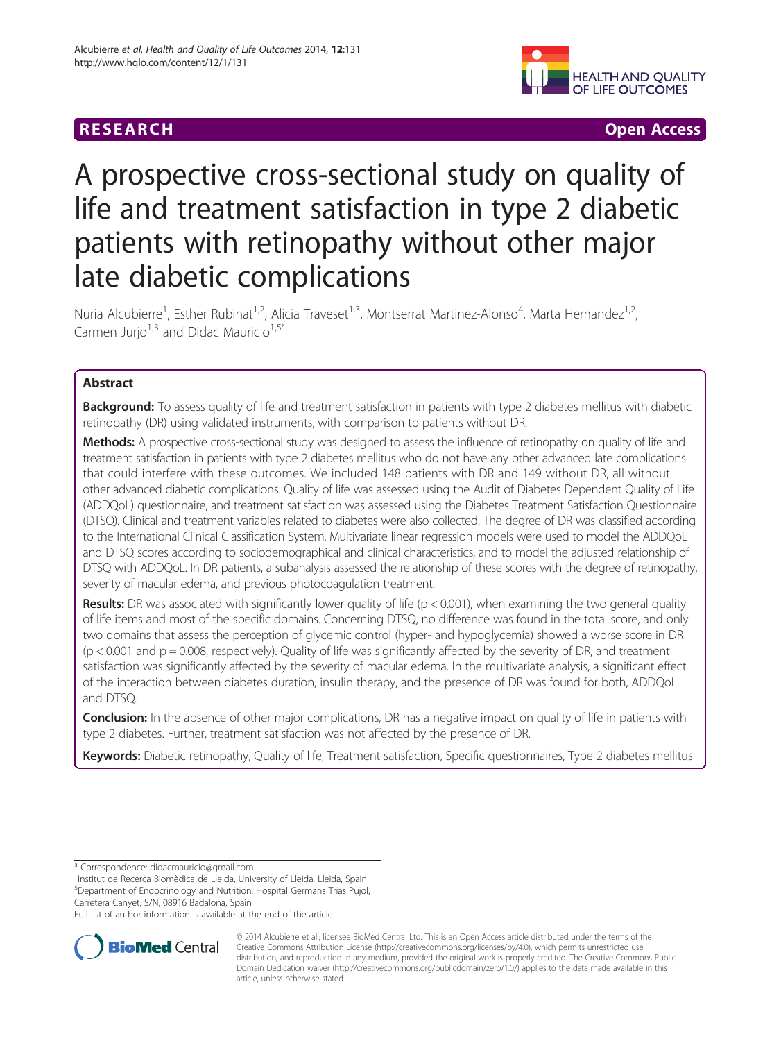

**RESEARCH CHINESE ARCH CHINESE ARCH CHINESE ARCH <b>CHINESE ARCH CHINESE ARCH CHINESE ARCH <b>CHINESE** ARCH **CHINESE ARCH** CHINESE ARCH **CHINESE ARCH 2014** 

# A prospective cross-sectional study on quality of life and treatment satisfaction in type 2 diabetic patients with retinopathy without other major late diabetic complications

Nuria Alcubierre<sup>1</sup>, Esther Rubinat<sup>1,2</sup>, Alicia Traveset<sup>1,3</sup>, Montserrat Martinez-Alonso<sup>4</sup>, Marta Hernandez<sup>1,2</sup>, Carmen Jurjo<sup>1,3</sup> and Didac Mauricio<sup>1,5\*</sup>

### Abstract

Background: To assess quality of life and treatment satisfaction in patients with type 2 diabetes mellitus with diabetic retinopathy (DR) using validated instruments, with comparison to patients without DR.

Methods: A prospective cross-sectional study was designed to assess the influence of retinopathy on quality of life and treatment satisfaction in patients with type 2 diabetes mellitus who do not have any other advanced late complications that could interfere with these outcomes. We included 148 patients with DR and 149 without DR, all without other advanced diabetic complications. Quality of life was assessed using the Audit of Diabetes Dependent Quality of Life (ADDQoL) questionnaire, and treatment satisfaction was assessed using the Diabetes Treatment Satisfaction Questionnaire (DTSQ). Clinical and treatment variables related to diabetes were also collected. The degree of DR was classified according to the International Clinical Classification System. Multivariate linear regression models were used to model the ADDQoL and DTSQ scores according to sociodemographical and clinical characteristics, and to model the adjusted relationship of DTSQ with ADDQoL. In DR patients, a subanalysis assessed the relationship of these scores with the degree of retinopathy, severity of macular edema, and previous photocoagulation treatment.

**Results:** DR was associated with significantly lower quality of life ( $p < 0.001$ ), when examining the two general quality of life items and most of the specific domains. Concerning DTSQ, no difference was found in the total score, and only two domains that assess the perception of glycemic control (hyper- and hypoglycemia) showed a worse score in DR  $(p < 0.001$  and  $p = 0.008$ , respectively). Quality of life was significantly affected by the severity of DR, and treatment satisfaction was significantly affected by the severity of macular edema. In the multivariate analysis, a significant effect of the interaction between diabetes duration, insulin therapy, and the presence of DR was found for both, ADDQoL and DTSQ.

**Conclusion:** In the absence of other major complications, DR has a negative impact on quality of life in patients with type 2 diabetes. Further, treatment satisfaction was not affected by the presence of DR.

Keywords: Diabetic retinopathy, Quality of life, Treatment satisfaction, Specific questionnaires, Type 2 diabetes mellitus

\* Correspondence: [didacmauricio@gmail.com](mailto:didacmauricio@gmail.com) <sup>1</sup>

<sup>1</sup>Institut de Recerca Biomèdica de Lleida, University of Lleida, Lleida, Spain 5 Department of Endocrinology and Nutrition, Hospital Germans Trias Pujol,

Carretera Canyet, S/N, 08916 Badalona, Spain

Full list of author information is available at the end of the article



© 2014 Alcubierre et al.; licensee BioMed Central Ltd. This is an Open Access article distributed under the terms of the Creative Commons Attribution License (<http://creativecommons.org/licenses/by/4.0>), which permits unrestricted use, distribution, and reproduction in any medium, provided the original work is properly credited. The Creative Commons Public Domain Dedication waiver [\(http://creativecommons.org/publicdomain/zero/1.0/\)](http://creativecommons.org/publicdomain/zero/1.0/) applies to the data made available in this article, unless otherwise stated.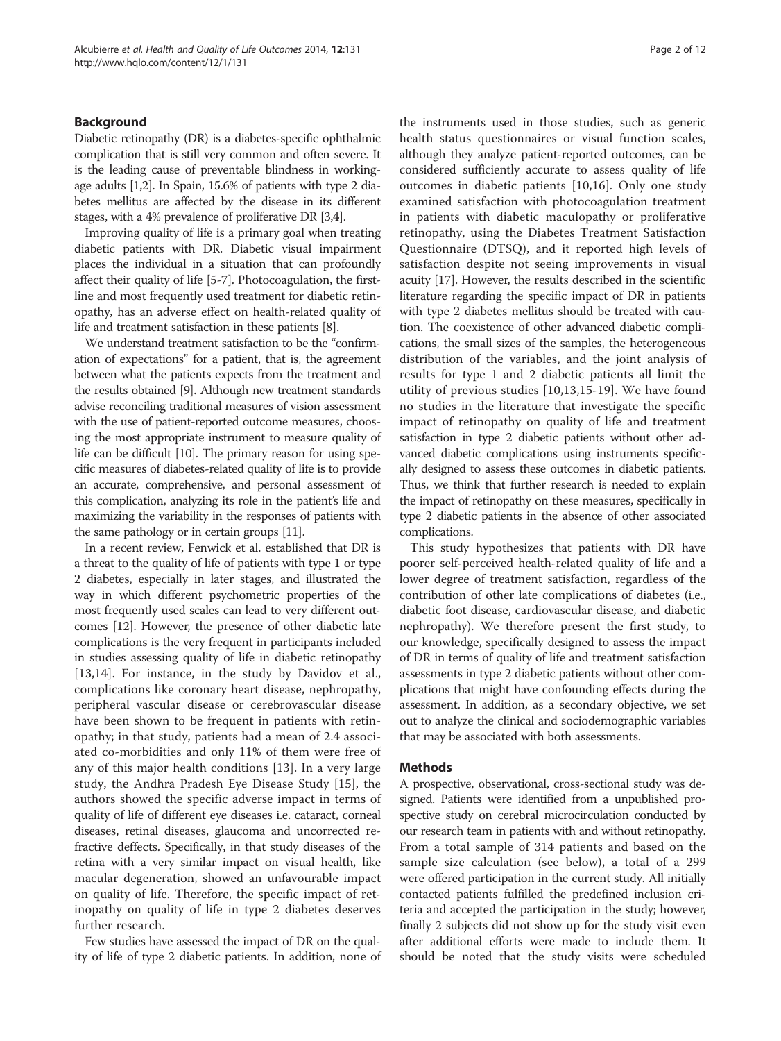#### Background

Diabetic retinopathy (DR) is a diabetes-specific ophthalmic complication that is still very common and often severe. It is the leading cause of preventable blindness in workingage adults [\[1,2](#page-10-0)]. In Spain, 15.6% of patients with type 2 diabetes mellitus are affected by the disease in its different stages, with a 4% prevalence of proliferative DR [\[3,4\]](#page-10-0).

Improving quality of life is a primary goal when treating diabetic patients with DR. Diabetic visual impairment places the individual in a situation that can profoundly affect their quality of life [\[5](#page-10-0)-[7\]](#page-10-0). Photocoagulation, the firstline and most frequently used treatment for diabetic retinopathy, has an adverse effect on health-related quality of life and treatment satisfaction in these patients [[8\]](#page-10-0).

We understand treatment satisfaction to be the "confirmation of expectations" for a patient, that is, the agreement between what the patients expects from the treatment and the results obtained [\[9\]](#page-10-0). Although new treatment standards advise reconciling traditional measures of vision assessment with the use of patient-reported outcome measures, choosing the most appropriate instrument to measure quality of life can be difficult [[10](#page-10-0)]. The primary reason for using specific measures of diabetes-related quality of life is to provide an accurate, comprehensive, and personal assessment of this complication, analyzing its role in the patient's life and maximizing the variability in the responses of patients with the same pathology or in certain groups [\[11\]](#page-10-0).

In a recent review, Fenwick et al. established that DR is a threat to the quality of life of patients with type 1 or type 2 diabetes, especially in later stages, and illustrated the way in which different psychometric properties of the most frequently used scales can lead to very different outcomes [\[12\]](#page-10-0). However, the presence of other diabetic late complications is the very frequent in participants included in studies assessing quality of life in diabetic retinopathy [[13,14](#page-10-0)]. For instance, in the study by Davidov et al., complications like coronary heart disease, nephropathy, peripheral vascular disease or cerebrovascular disease have been shown to be frequent in patients with retinopathy; in that study, patients had a mean of 2.4 associated co-morbidities and only 11% of them were free of any of this major health conditions [\[13](#page-10-0)]. In a very large study, the Andhra Pradesh Eye Disease Study [\[15](#page-10-0)], the authors showed the specific adverse impact in terms of quality of life of different eye diseases i.e. cataract, corneal diseases, retinal diseases, glaucoma and uncorrected refractive deffects. Specifically, in that study diseases of the retina with a very similar impact on visual health, like macular degeneration, showed an unfavourable impact on quality of life. Therefore, the specific impact of retinopathy on quality of life in type 2 diabetes deserves further research.

Few studies have assessed the impact of DR on the quality of life of type 2 diabetic patients. In addition, none of

the instruments used in those studies, such as generic health status questionnaires or visual function scales, although they analyze patient-reported outcomes, can be considered sufficiently accurate to assess quality of life outcomes in diabetic patients [[10,16\]](#page-10-0). Only one study examined satisfaction with photocoagulation treatment in patients with diabetic maculopathy or proliferative retinopathy, using the Diabetes Treatment Satisfaction Questionnaire (DTSQ), and it reported high levels of satisfaction despite not seeing improvements in visual acuity [\[17\]](#page-10-0). However, the results described in the scientific literature regarding the specific impact of DR in patients with type 2 diabetes mellitus should be treated with caution. The coexistence of other advanced diabetic complications, the small sizes of the samples, the heterogeneous distribution of the variables, and the joint analysis of results for type 1 and 2 diabetic patients all limit the utility of previous studies [[10,13,15](#page-10-0)-[19\]](#page-10-0). We have found no studies in the literature that investigate the specific impact of retinopathy on quality of life and treatment satisfaction in type 2 diabetic patients without other advanced diabetic complications using instruments specifically designed to assess these outcomes in diabetic patients. Thus, we think that further research is needed to explain the impact of retinopathy on these measures, specifically in type 2 diabetic patients in the absence of other associated complications.

This study hypothesizes that patients with DR have poorer self-perceived health-related quality of life and a lower degree of treatment satisfaction, regardless of the contribution of other late complications of diabetes (i.e., diabetic foot disease, cardiovascular disease, and diabetic nephropathy). We therefore present the first study, to our knowledge, specifically designed to assess the impact of DR in terms of quality of life and treatment satisfaction assessments in type 2 diabetic patients without other complications that might have confounding effects during the assessment. In addition, as a secondary objective, we set out to analyze the clinical and sociodemographic variables that may be associated with both assessments.

#### Methods

A prospective, observational, cross-sectional study was designed. Patients were identified from a unpublished prospective study on cerebral microcirculation conducted by our research team in patients with and without retinopathy. From a total sample of 314 patients and based on the sample size calculation (see below), a total of a 299 were offered participation in the current study. All initially contacted patients fulfilled the predefined inclusion criteria and accepted the participation in the study; however, finally 2 subjects did not show up for the study visit even after additional efforts were made to include them. It should be noted that the study visits were scheduled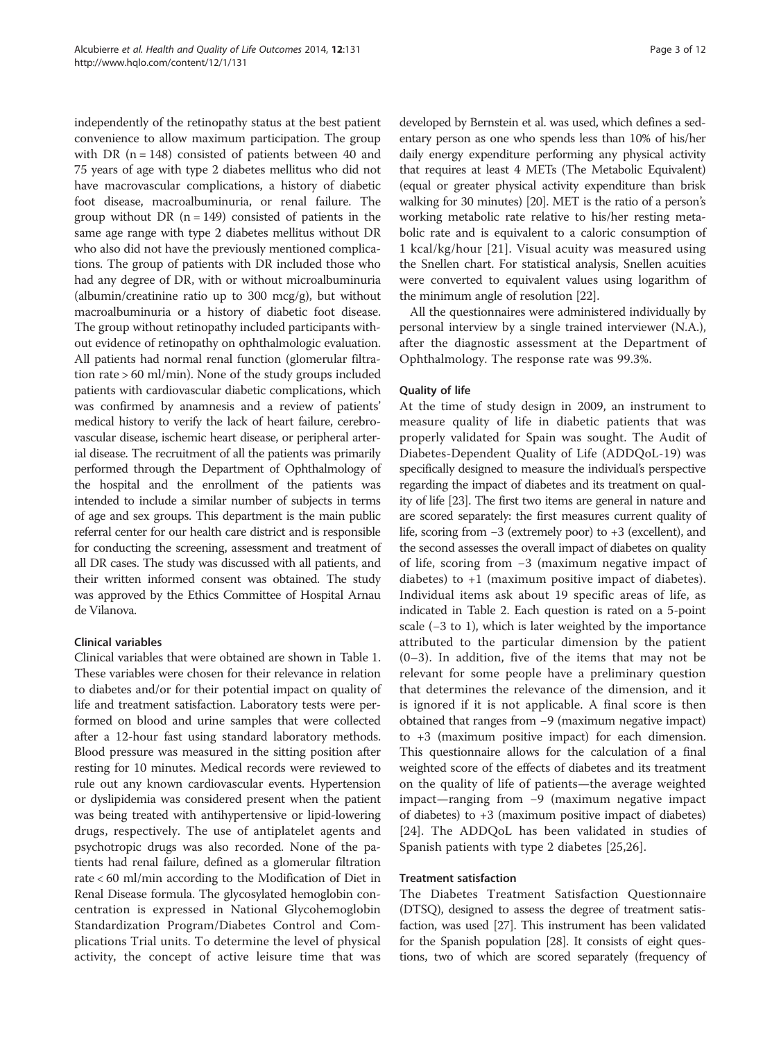independently of the retinopathy status at the best patient convenience to allow maximum participation. The group with DR  $(n = 148)$  consisted of patients between 40 and 75 years of age with type 2 diabetes mellitus who did not have macrovascular complications, a history of diabetic foot disease, macroalbuminuria, or renal failure. The group without DR  $(n = 149)$  consisted of patients in the same age range with type 2 diabetes mellitus without DR who also did not have the previously mentioned complications. The group of patients with DR included those who had any degree of DR, with or without microalbuminuria (albumin/creatinine ratio up to 300 mcg/g), but without macroalbuminuria or a history of diabetic foot disease. The group without retinopathy included participants without evidence of retinopathy on ophthalmologic evaluation. All patients had normal renal function (glomerular filtration rate > 60 ml/min). None of the study groups included patients with cardiovascular diabetic complications, which was confirmed by anamnesis and a review of patients' medical history to verify the lack of heart failure, cerebrovascular disease, ischemic heart disease, or peripheral arterial disease. The recruitment of all the patients was primarily performed through the Department of Ophthalmology of the hospital and the enrollment of the patients was intended to include a similar number of subjects in terms of age and sex groups. This department is the main public referral center for our health care district and is responsible for conducting the screening, assessment and treatment of all DR cases. The study was discussed with all patients, and their written informed consent was obtained. The study was approved by the Ethics Committee of Hospital Arnau de Vilanova.

#### Clinical variables

Clinical variables that were obtained are shown in Table [1](#page-3-0). These variables were chosen for their relevance in relation to diabetes and/or for their potential impact on quality of life and treatment satisfaction. Laboratory tests were performed on blood and urine samples that were collected after a 12-hour fast using standard laboratory methods. Blood pressure was measured in the sitting position after resting for 10 minutes. Medical records were reviewed to rule out any known cardiovascular events. Hypertension or dyslipidemia was considered present when the patient was being treated with antihypertensive or lipid-lowering drugs, respectively. The use of antiplatelet agents and psychotropic drugs was also recorded. None of the patients had renal failure, defined as a glomerular filtration rate < 60 ml/min according to the Modification of Diet in Renal Disease formula. The glycosylated hemoglobin concentration is expressed in National Glycohemoglobin Standardization Program/Diabetes Control and Complications Trial units. To determine the level of physical activity, the concept of active leisure time that was developed by Bernstein et al. was used, which defines a sedentary person as one who spends less than 10% of his/her daily energy expenditure performing any physical activity that requires at least 4 METs (The Metabolic Equivalent) (equal or greater physical activity expenditure than brisk walking for 30 minutes) [\[20\]](#page-10-0). MET is the ratio of a person's working metabolic rate relative to his/her resting metabolic rate and is equivalent to a caloric consumption of 1 kcal/kg/hour [[21\]](#page-11-0). Visual acuity was measured using the Snellen chart. For statistical analysis, Snellen acuities were converted to equivalent values using logarithm of the minimum angle of resolution [\[22](#page-11-0)].

All the questionnaires were administered individually by personal interview by a single trained interviewer (N.A.), after the diagnostic assessment at the Department of Ophthalmology. The response rate was 99.3%.

#### Quality of life

At the time of study design in 2009, an instrument to measure quality of life in diabetic patients that was properly validated for Spain was sought. The Audit of Diabetes-Dependent Quality of Life (ADDQoL-19) was specifically designed to measure the individual's perspective regarding the impact of diabetes and its treatment on quality of life [\[23](#page-11-0)]. The first two items are general in nature and are scored separately: the first measures current quality of life, scoring from −3 (extremely poor) to +3 (excellent), and the second assesses the overall impact of diabetes on quality of life, scoring from −3 (maximum negative impact of diabetes) to +1 (maximum positive impact of diabetes). Individual items ask about 19 specific areas of life, as indicated in Table [2.](#page-4-0) Each question is rated on a 5-point scale (−3 to 1), which is later weighted by the importance attributed to the particular dimension by the patient (0–3). In addition, five of the items that may not be relevant for some people have a preliminary question that determines the relevance of the dimension, and it is ignored if it is not applicable. A final score is then obtained that ranges from −9 (maximum negative impact) to +3 (maximum positive impact) for each dimension. This questionnaire allows for the calculation of a final weighted score of the effects of diabetes and its treatment on the quality of life of patients—the average weighted impact—ranging from −9 (maximum negative impact of diabetes) to +3 (maximum positive impact of diabetes) [[24\]](#page-11-0). The ADDQoL has been validated in studies of Spanish patients with type 2 diabetes [\[25](#page-11-0),[26\]](#page-11-0).

#### Treatment satisfaction

The Diabetes Treatment Satisfaction Questionnaire (DTSQ), designed to assess the degree of treatment satisfaction, was used [\[27\]](#page-11-0). This instrument has been validated for the Spanish population [\[28\]](#page-11-0). It consists of eight questions, two of which are scored separately (frequency of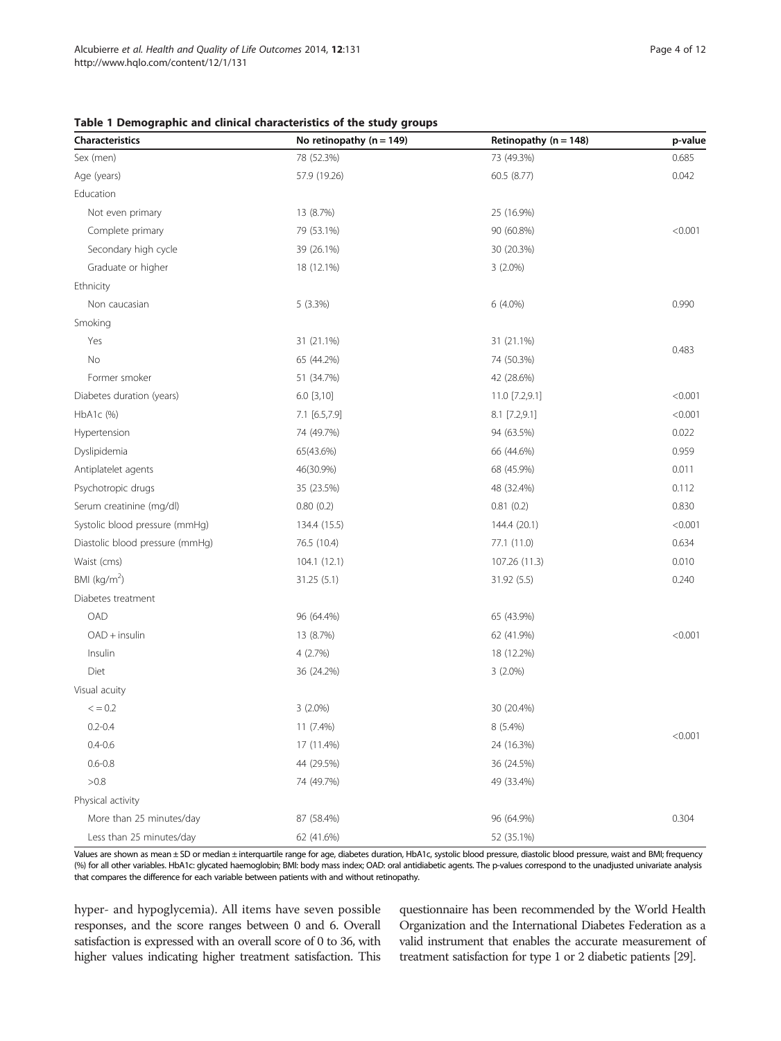#### <span id="page-3-0"></span>Table 1 Demographic and clinical characteristics of the study groups

| <b>Characteristics</b>          | No retinopathy $(n = 149)$  | Retinopathy ( $n = 148$ ) | p-value |
|---------------------------------|-----------------------------|---------------------------|---------|
| Sex (men)                       | 78 (52.3%)<br>73 (49.3%)    |                           | 0.685   |
| Age (years)                     | 57.9 (19.26)<br>60.5 (8.77) |                           | 0.042   |
| Education                       |                             |                           |         |
| Not even primary                | 13 (8.7%)                   | 25 (16.9%)                |         |
| Complete primary                | 79 (53.1%)                  | 90 (60.8%)                | < 0.001 |
| Secondary high cycle            | 39 (26.1%)                  | 30 (20.3%)                |         |
| Graduate or higher              | 18 (12.1%)                  | $3(2.0\%)$                |         |
| Ethnicity                       |                             |                           |         |
| Non caucasian                   | $5(3.3\%)$                  | $6(4.0\%)$                | 0.990   |
| Smoking                         |                             |                           |         |
| Yes                             | 31 (21.1%)                  | 31 (21.1%)                |         |
| No                              | 65 (44.2%)                  | 74 (50.3%)                | 0.483   |
| Former smoker                   | 51 (34.7%)                  | 42 (28.6%)                |         |
| Diabetes duration (years)       | $6.0$ [3,10]                | 11.0 [7.2,9.1]            | < 0.001 |
| HbA1c (%)                       | 7.1 [6.5,7.9]               | 8.1 [7.2,9.1]             | < 0.001 |
| Hypertension                    | 74 (49.7%)                  | 94 (63.5%)                | 0.022   |
| Dyslipidemia                    | 65(43.6%)                   | 66 (44.6%)                | 0.959   |
| Antiplatelet agents             | 46(30.9%)                   | 68 (45.9%)                | 0.011   |
| Psychotropic drugs              | 35 (23.5%)                  | 48 (32.4%)                | 0.112   |
| Serum creatinine (mg/dl)        | 0.80(0.2)                   | 0.81(0.2)                 | 0.830   |
| Systolic blood pressure (mmHg)  | 134.4 (15.5)                | 144.4 (20.1)              | < 0.001 |
| Diastolic blood pressure (mmHg) | 76.5 (10.4)                 | 77.1 (11.0)               | 0.634   |
| Waist (cms)                     | 104.1(12.1)                 | 107.26 (11.3)             | 0.010   |
| BMI ( $kg/m2$ )                 | 31.25(5.1)                  | 31.92 (5.5)               | 0.240   |
| Diabetes treatment              |                             |                           |         |
| OAD                             | 96 (64.4%)                  | 65 (43.9%)                |         |
| OAD + insulin                   | 13 (8.7%)                   | 62 (41.9%)                | < 0.001 |
| Insulin                         | 4(2.7%)                     | 18 (12.2%)                |         |
| Diet                            | 36 (24.2%)                  | $3(2.0\%)$                |         |
| Visual acuity                   |                             |                           |         |
| $\epsilon = 0.2$                | 3 (2.0%)                    | 30 (20.4%)                |         |
| $0.2 - 0.4$                     | 11 (7.4%)                   | 8 (5.4%)                  |         |
| $0.4 - 0.6$                     | 17 (11.4%)                  | 24 (16.3%)                | < 0.001 |
| $0.6 - 0.8$                     | 44 (29.5%)                  | 36 (24.5%)                |         |
| >0.8                            | 74 (49.7%)                  | 49 (33.4%)                |         |
| Physical activity               |                             |                           |         |
| More than 25 minutes/day        | 87 (58.4%)                  | 96 (64.9%)                | 0.304   |
| Less than 25 minutes/day        | 62 (41.6%)                  | 52 (35.1%)                |         |

Values are shown as mean ± SD or median ± interquartile range for age, diabetes duration, HbA1c, systolic blood pressure, diastolic blood pressure, waist and BMI; frequency (%) for all other variables. HbA1c: glycated haemoglobin; BMI: body mass index; OAD: oral antidiabetic agents. The p-values correspond to the unadjusted univariate analysis that compares the difference for each variable between patients with and without retinopathy.

hyper- and hypoglycemia). All items have seven possible responses, and the score ranges between 0 and 6. Overall satisfaction is expressed with an overall score of 0 to 36, with higher values indicating higher treatment satisfaction. This

questionnaire has been recommended by the World Health Organization and the International Diabetes Federation as a valid instrument that enables the accurate measurement of treatment satisfaction for type 1 or 2 diabetic patients [[29\]](#page-11-0).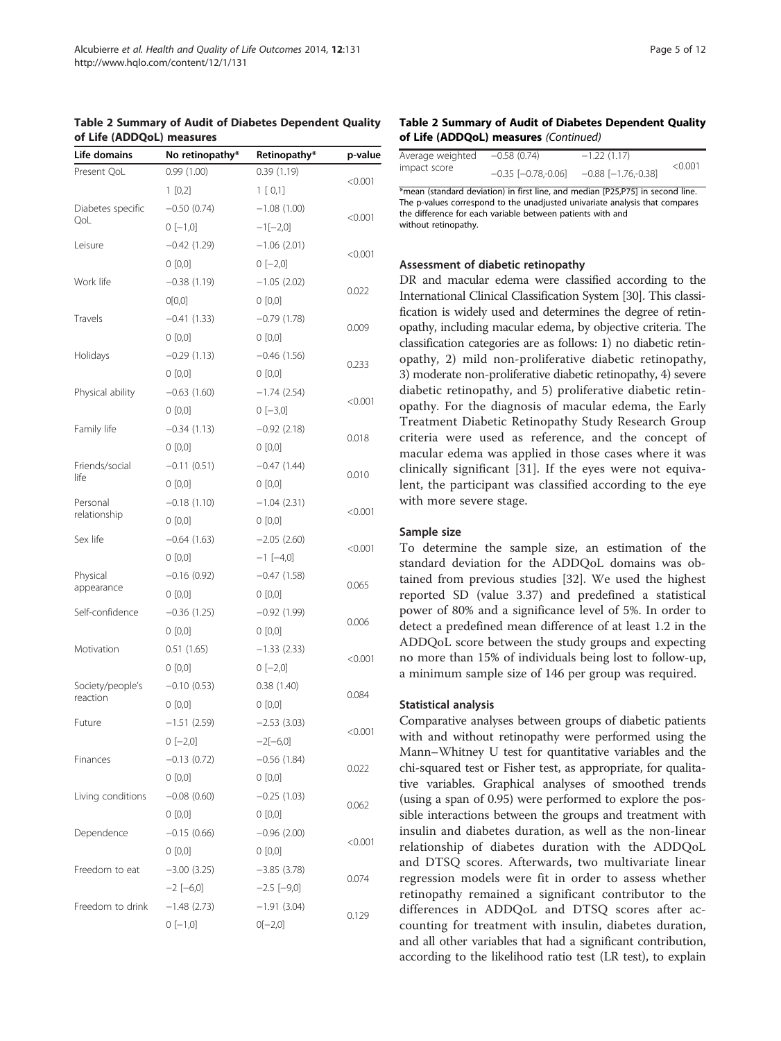<span id="page-4-0"></span>

| <b>Table 2 Summary of Audit of Diabetes Dependent Quality</b> |  |  |
|---------------------------------------------------------------|--|--|
| of Life (ADDQoL) measures                                     |  |  |

| Life domains      | No retinopathy* | Retinopathy*      | p-value |
|-------------------|-----------------|-------------------|---------|
| Present QoL       | 0.99(1.00)      | 0.39(1.19)        |         |
|                   | 1 [0,2]         | 1 [0,1]           | < 0.001 |
| Diabetes specific | $-0.50(0.74)$   | $-1.08(1.00)$     | < 0.001 |
| QoL               | $0$ [-1,0]      | $-1[-2,0]$        |         |
| Leisure           | $-0.42(1.29)$   | $-1.06(2.01)$     |         |
|                   | [0,0]           | $0[-2,0]$         | < 0.001 |
| Work life         | $-0.38(1.19)$   | $-1.05(2.02)$     |         |
|                   | O[0,0]          | 0 [0,0]           | 0.022   |
| Travels           | $-0.41(1.33)$   | $-0.79(1.78)$     |         |
|                   | [0,0]           | 0 [0,0]           | 0.009   |
| Holidays          | $-0.29(1.13)$   | $-0.46(1.56)$     |         |
|                   | [0,0]           | 0 [0,0]           | 0.233   |
| Physical ability  | $-0.63(1.60)$   | $-1.74(2.54)$     |         |
|                   | [0,0]           | $0[-3,0]$         | < 0.001 |
| Family life       | $-0.34(1.13)$   | $-0.92(2.18)$     |         |
|                   | [0,0]           | 0 [0,0]           | 0.018   |
| Friends/social    | $-0.11(0.51)$   | $-0.47(1.44)$     |         |
| life              | [0,0]           | 0 [0,0]           | 0.010   |
| Personal          | $-0.18(1.10)$   | $-1.04(2.31)$     |         |
| relationship      | [0,0]           | 0 [0,0]           | < 0.001 |
| Sex life          | $-0.64(1.63)$   | $-2.05(2.60)$     |         |
|                   | [0,0]           | $-1$ [-4,0]       | < 0.001 |
| Physical          | $-0.16(0.92)$   | $-0.47(1.58)$     |         |
| appearance        | 0 [0,0]         | 0 [0,0]           | 0.065   |
| Self-confidence   | $-0.36(1.25)$   | $-0.92(1.99)$     |         |
|                   | 0 [0,0]         | 0 [0,0]           | 0.006   |
| Motivation        | 0.51(1.65)      | $-1.33(2.33)$     |         |
|                   | 0 [0,0]         | $0$ [-2,0]        | < 0.001 |
| Society/people's  | $-0.10(0.53)$   | 0.38(1.40)        |         |
| reaction          | 0 [0,0]         | 0 [0,0]           | 0.084   |
| Future            | $-1.51(2.59)$   | $-2.53(3.03)$     |         |
|                   | $0$ [-2,0]      | $-2[-6,0]$        | < 0.001 |
| Finances          | $-0.13(0.72)$   | $-0.56(1.84)$     |         |
|                   | [0,0]           | 0 [0,0]           | 0.022   |
| Living conditions | $-0.08(0.60)$   | $-0.25(1.03)$     |         |
|                   | [0,0]           | 0 [0,0]           | 0.062   |
| Dependence        | $-0.15(0.66)$   | $-0.96(2.00)$     |         |
|                   | 0 [0,0]         | 0 [0,0]           | < 0.001 |
| Freedom to eat    | $-3.00(3.25)$   | $-3.85(3.78)$     |         |
|                   | $-2$ [ $-6,0$ ] | $-2.5$ [ $-9.0$ ] | 0.074   |
| Freedom to drink  | $-1.48(2.73)$   | $-1.91(3.04)$     |         |
|                   | $0$ [-1,0]      | $0[-2,0]$         | 0.129   |

#### Table 2 Summary of Audit of Diabetes Dependent Quality of Life (ADDQoL) measures (Continued)

| Average weighted | $-0.58(0.74)$              | $-1.22(1.17)$              |         |
|------------------|----------------------------|----------------------------|---------|
| impact score     | $-0.35$ [ $-0.78, -0.06$ ] | $-0.88$ [ $-1.76, -0.38$ ] | < 0.001 |

\*mean (standard deviation) in first line, and median [P25,P75] in second line. The p-values correspond to the unadjusted univariate analysis that compares the difference for each variable between patients with and without retinopathy.

#### Assessment of diabetic retinopathy

DR and macular edema were classified according to the International Clinical Classification System [[30](#page-11-0)]. This classification is widely used and determines the degree of retinopathy, including macular edema, by objective criteria. The classification categories are as follows: 1) no diabetic retinopathy, 2) mild non-proliferative diabetic retinopathy, 3) moderate non-proliferative diabetic retinopathy, 4) severe diabetic retinopathy, and 5) proliferative diabetic retinopathy. For the diagnosis of macular edema, the Early Treatment Diabetic Retinopathy Study Research Group criteria were used as reference, and the concept of macular edema was applied in those cases where it was clinically significant [\[31](#page-11-0)]. If the eyes were not equivalent, the participant was classified according to the eye with more severe stage.

#### Sample size

To determine the sample size, an estimation of the standard deviation for the ADDQoL domains was obtained from previous studies [\[32\]](#page-11-0). We used the highest reported SD (value 3.37) and predefined a statistical power of 80% and a significance level of 5%. In order to detect a predefined mean difference of at least 1.2 in the ADDQoL score between the study groups and expecting no more than 15% of individuals being lost to follow-up, a minimum sample size of 146 per group was required.

#### Statistical analysis

Comparative analyses between groups of diabetic patients with and without retinopathy were performed using the Mann–Whitney U test for quantitative variables and the chi-squared test or Fisher test, as appropriate, for qualitative variables. Graphical analyses of smoothed trends (using a span of 0.95) were performed to explore the possible interactions between the groups and treatment with insulin and diabetes duration, as well as the non-linear relationship of diabetes duration with the ADDQoL and DTSQ scores. Afterwards, two multivariate linear regression models were fit in order to assess whether retinopathy remained a significant contributor to the differences in ADDQoL and DTSQ scores after accounting for treatment with insulin, diabetes duration, and all other variables that had a significant contribution, according to the likelihood ratio test (LR test), to explain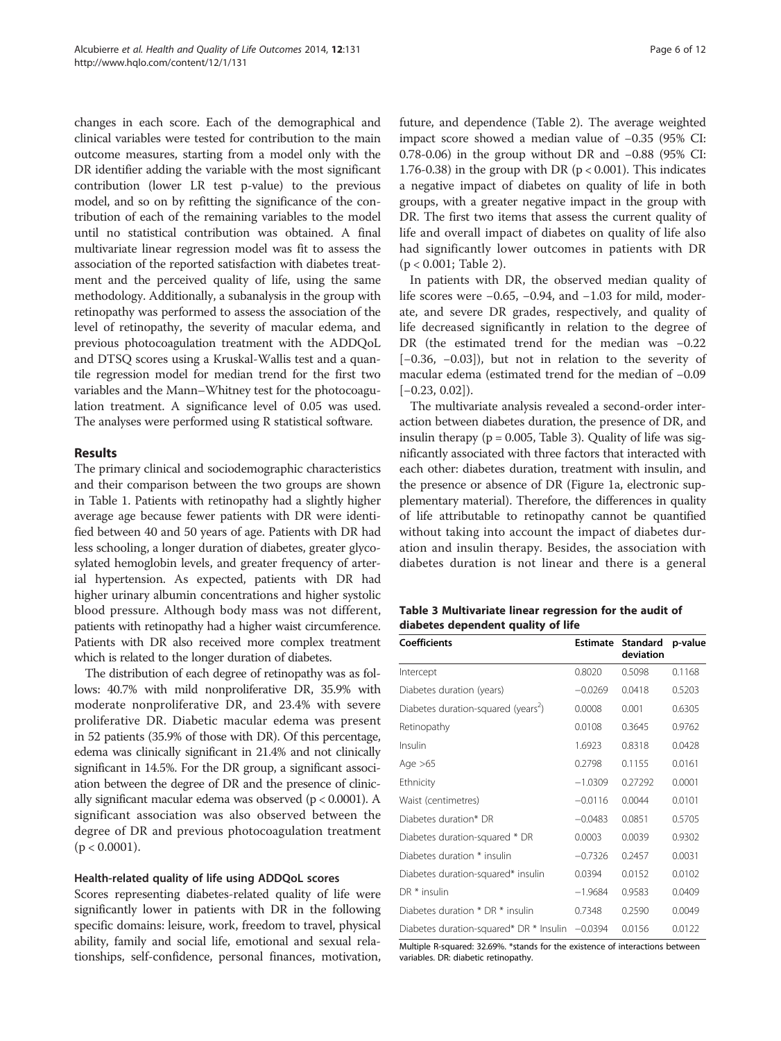changes in each score. Each of the demographical and clinical variables were tested for contribution to the main outcome measures, starting from a model only with the DR identifier adding the variable with the most significant contribution (lower LR test p-value) to the previous model, and so on by refitting the significance of the contribution of each of the remaining variables to the model until no statistical contribution was obtained. A final multivariate linear regression model was fit to assess the association of the reported satisfaction with diabetes treatment and the perceived quality of life, using the same methodology. Additionally, a subanalysis in the group with retinopathy was performed to assess the association of the level of retinopathy, the severity of macular edema, and previous photocoagulation treatment with the ADDQoL and DTSQ scores using a Kruskal-Wallis test and a quantile regression model for median trend for the first two variables and the Mann–Whitney test for the photocoagulation treatment. A significance level of 0.05 was used. The analyses were performed using R statistical software.

#### Results

The primary clinical and sociodemographic characteristics and their comparison between the two groups are shown in Table [1.](#page-3-0) Patients with retinopathy had a slightly higher average age because fewer patients with DR were identified between 40 and 50 years of age. Patients with DR had less schooling, a longer duration of diabetes, greater glycosylated hemoglobin levels, and greater frequency of arterial hypertension. As expected, patients with DR had higher urinary albumin concentrations and higher systolic blood pressure. Although body mass was not different, patients with retinopathy had a higher waist circumference. Patients with DR also received more complex treatment which is related to the longer duration of diabetes.

The distribution of each degree of retinopathy was as follows: 40.7% with mild nonproliferative DR, 35.9% with moderate nonproliferative DR, and 23.4% with severe proliferative DR. Diabetic macular edema was present in 52 patients (35.9% of those with DR). Of this percentage, edema was clinically significant in 21.4% and not clinically significant in 14.5%. For the DR group, a significant association between the degree of DR and the presence of clinically significant macular edema was observed  $(p < 0.0001)$ . A significant association was also observed between the degree of DR and previous photocoagulation treatment  $(p < 0.0001)$ .

#### Health-related quality of life using ADDQoL scores

Scores representing diabetes-related quality of life were significantly lower in patients with DR in the following specific domains: leisure, work, freedom to travel, physical ability, family and social life, emotional and sexual relationships, self-confidence, personal finances, motivation, future, and dependence (Table [2](#page-4-0)). The average weighted impact score showed a median value of −0.35 (95% CI: 0.78-0.06) in the group without DR and −0.88 (95% CI: 1.76-0.38) in the group with DR ( $p < 0.001$ ). This indicates a negative impact of diabetes on quality of life in both groups, with a greater negative impact in the group with DR. The first two items that assess the current quality of life and overall impact of diabetes on quality of life also had significantly lower outcomes in patients with DR (p < 0.001; Table [2](#page-4-0)).

In patients with DR, the observed median quality of life scores were −0.65, −0.94, and −1.03 for mild, moderate, and severe DR grades, respectively, and quality of life decreased significantly in relation to the degree of DR (the estimated trend for the median was −0.22 [−0.36, −0.03]), but not in relation to the severity of macular edema (estimated trend for the median of −0.09  $[-0.23, 0.02]$ ).

The multivariate analysis revealed a second-order interaction between diabetes duration, the presence of DR, and insulin therapy ( $p = 0.005$ , Table 3). Quality of life was significantly associated with three factors that interacted with each other: diabetes duration, treatment with insulin, and the presence or absence of DR (Figure [1a](#page-6-0), electronic supplementary material). Therefore, the differences in quality of life attributable to retinopathy cannot be quantified without taking into account the impact of diabetes duration and insulin therapy. Besides, the association with diabetes duration is not linear and there is a general

|                                    | Table 3 Multivariate linear regression for the audit of |
|------------------------------------|---------------------------------------------------------|
| diabetes dependent quality of life |                                                         |

| <b>Coefficients</b>                             | Estimate  | Standard<br>deviation | p-value |
|-------------------------------------------------|-----------|-----------------------|---------|
| Intercept                                       | 0.8020    | 0.5098                | 0.1168  |
| Diabetes duration (years)                       | $-0.0269$ | 0.0418                | 0.5203  |
| Diabetes duration-squared (years <sup>2</sup> ) | 0.0008    | 0.001                 | 0.6305  |
| Retinopathy                                     | 0.0108    | 0.3645                | 0.9762  |
| Insulin                                         | 1.6923    | 0.8318                | 0.0428  |
| Age $>65$                                       | 0.2798    | 0.1155                | 0.0161  |
| Ethnicity                                       | $-1.0309$ | 0.27292               | 0.0001  |
| Waist (centimetres)                             | $-0.0116$ | 0.0044                | 0.0101  |
| Diabetes duration* DR                           | $-0.0483$ | 0.0851                | 0.5705  |
| Diabetes duration-squared * DR                  | 0.0003    | 0.0039                | 0.9302  |
| Diabetes duration * insulin                     | $-0.7326$ | 0.2457                | 0.0031  |
| Diabetes duration-squared* insulin              | 0.0394    | 0.0152                | 0.0102  |
| DR * insulin                                    | $-1.9684$ | 0.9583                | 0.0409  |
| Diabetes duration * DR * insulin                | 0.7348    | 0.2590                | 0.0049  |
| Diabetes duration-squared* DR * Insulin         | $-0.0394$ | 0.0156                | 0.0122  |

Multiple R-squared: 32.69%. \*stands for the existence of interactions between variables. DR: diabetic retinopathy.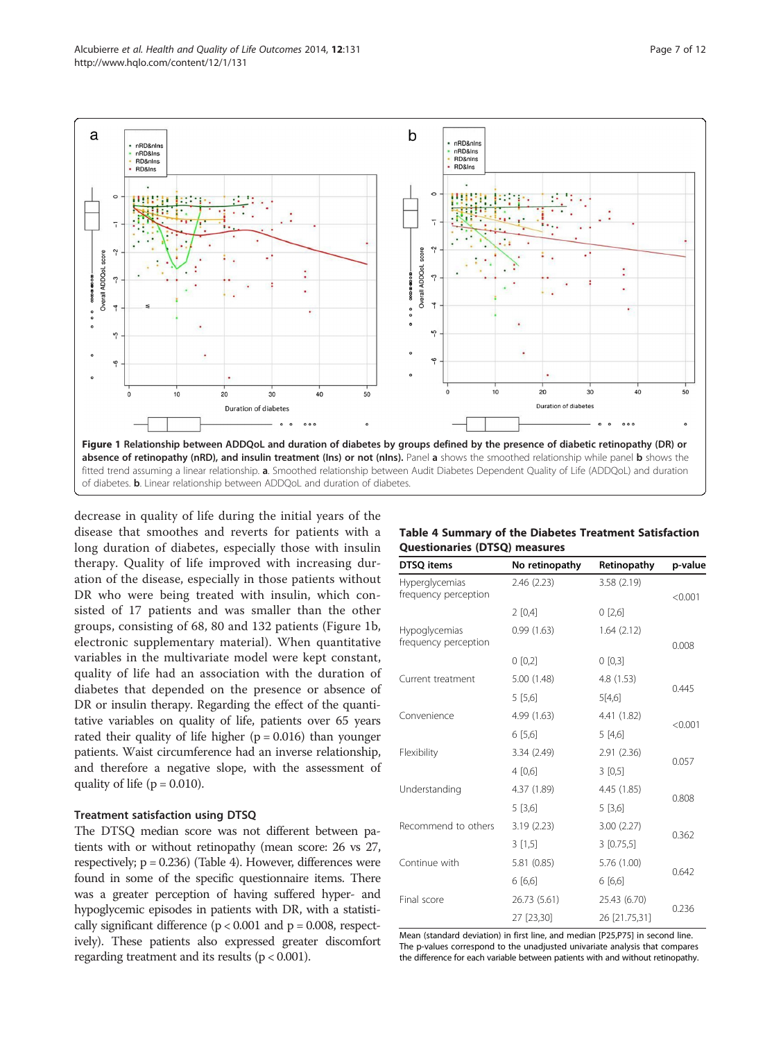<span id="page-6-0"></span>

decrease in quality of life during the initial years of the disease that smoothes and reverts for patients with a long duration of diabetes, especially those with insulin therapy. Quality of life improved with increasing duration of the disease, especially in those patients without DR who were being treated with insulin, which consisted of 17 patients and was smaller than the other groups, consisting of 68, 80 and 132 patients (Figure 1b, electronic supplementary material). When quantitative variables in the multivariate model were kept constant, quality of life had an association with the duration of diabetes that depended on the presence or absence of DR or insulin therapy. Regarding the effect of the quantitative variables on quality of life, patients over 65 years rated their quality of life higher ( $p = 0.016$ ) than younger patients. Waist circumference had an inverse relationship, and therefore a negative slope, with the assessment of quality of life ( $p = 0.010$ ).

#### Treatment satisfaction using DTSQ

The DTSQ median score was not different between patients with or without retinopathy (mean score: 26 vs 27, respectively;  $p = 0.236$  (Table 4). However, differences were found in some of the specific questionnaire items. There was a greater perception of having suffered hyper- and hypoglycemic episodes in patients with DR, with a statistically significant difference ( $p < 0.001$  and  $p = 0.008$ , respectively). These patients also expressed greater discomfort regarding treatment and its results (p < 0.001).

#### Table 4 Summary of the Diabetes Treatment Satisfaction Questionaries (DTSQ) measures

| DTSQ items                             | No retinopathy | Retinopathy   | p-value |
|----------------------------------------|----------------|---------------|---------|
| Hyperglycemias<br>frequency perception | 2.46(2.23)     | 3.58 (2.19)   | < 0.001 |
|                                        | 2[0,4]         | 0 [2,6]       |         |
| Hypoglycemias<br>frequency perception  | 0.99(1.63)     | 1.64(2.12)    | 0.008   |
|                                        | 0 [0,2]        | 0 [0,3]       |         |
| Current treatment                      | 5.00(1.48)     | 4.8 (1.53)    | 0.445   |
|                                        | 5[5,6]         | 5[4,6]        |         |
| Convenience                            | 4.99 (1.63)    | 4.41 (1.82)   | < 0.001 |
|                                        | 6[5,6]         | 5[4,6]        |         |
| Flexibility                            | 3.34 (2.49)    | 2.91(2.36)    | 0.057   |
|                                        | 4[0,6]         | 3[0,5]        |         |
| Understanding                          | 4.37 (1.89)    | 4.45 (1.85)   | 0.808   |
|                                        | 5[3,6]         | 5[3,6]        |         |
| Recommend to others                    | 3.19(2.23)     | 3.00(2.27)    | 0.362   |
|                                        | 3[1,5]         | 3 [0.75,5]    |         |
| Continue with                          | 5.81(0.85)     | 5.76 (1.00)   | 0.642   |
|                                        | 6[6,6]         | 6[6,6]        |         |
| Final score                            | 26.73 (5.61)   | 25.43 (6.70)  | 0.236   |
|                                        | 27 [23,30]     | 26 [21.75,31] |         |

Mean (standard deviation) in first line, and median [P25,P75] in second line. The p-values correspond to the unadjusted univariate analysis that compares the difference for each variable between patients with and without retinopathy.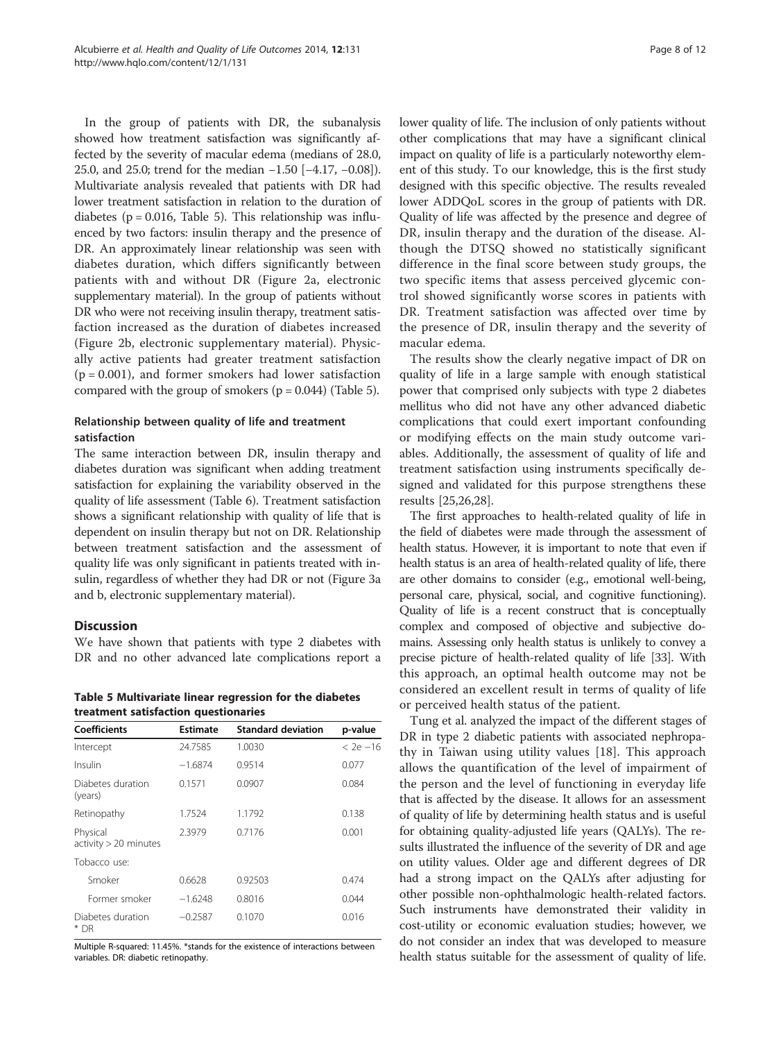In the group of patients with DR, the subanalysis showed how treatment satisfaction was significantly affected by the severity of macular edema (medians of 28.0, 25.0, and 25.0; trend for the median −1.50 [−4.17, −0.08]). Multivariate analysis revealed that patients with DR had lower treatment satisfaction in relation to the duration of diabetes ( $p = 0.016$ , Table 5). This relationship was influenced by two factors: insulin therapy and the presence of DR. An approximately linear relationship was seen with diabetes duration, which differs significantly between patients with and without DR (Figure [2a](#page-8-0), electronic supplementary material). In the group of patients without DR who were not receiving insulin therapy, treatment satisfaction increased as the duration of diabetes increased (Figure [2](#page-8-0)b, electronic supplementary material). Physically active patients had greater treatment satisfaction  $(p = 0.001)$ , and former smokers had lower satisfaction compared with the group of smokers  $(p = 0.044)$  (Table 5).

#### Relationship between quality of life and treatment satisfaction

The same interaction between DR, insulin therapy and diabetes duration was significant when adding treatment satisfaction for explaining the variability observed in the quality of life assessment (Table [6](#page-8-0)). Treatment satisfaction shows a significant relationship with quality of life that is dependent on insulin therapy but not on DR. Relationship between treatment satisfaction and the assessment of quality life was only significant in patients treated with insulin, regardless of whether they had DR or not (Figure [3](#page-9-0)a and b, electronic supplementary material).

#### **Discussion**

We have shown that patients with type 2 diabetes with DR and no other advanced late complications report a

Table 5 Multivariate linear regression for the diabetes treatment satisfaction questionaries

| <b>Coefficients</b>                 | <b>Estimate</b> | <b>Standard deviation</b> | p-value     |
|-------------------------------------|-----------------|---------------------------|-------------|
| Intercept                           | 24.7585         | 1.0030                    | $< 2e - 16$ |
| Insulin                             | $-1.6874$       | 0.9514                    | 0.077       |
| Diabetes duration<br>(years)        | 0.1571          | 0.0907                    | 0.084       |
| Retinopathy                         | 1.7524          | 1.1792                    | 0.138       |
| Physical<br>$activity > 20$ minutes | 2.3979          | 0.7176                    | 0.001       |
| Tobacco use:                        |                 |                           |             |
| Smoker                              | 0.6628          | 0.92503                   | 0.474       |
| Former smoker                       | $-1.6248$       | 0.8016                    | 0.044       |
| Diabetes duration<br>* DR           | $-0.2587$       | 0.1070                    | 0.016       |

Multiple R-squared: 11.45%. \*stands for the existence of interactions between variables. DR: diabetic retinopathy.

lower quality of life. The inclusion of only patients without other complications that may have a significant clinical impact on quality of life is a particularly noteworthy element of this study. To our knowledge, this is the first study designed with this specific objective. The results revealed lower ADDQoL scores in the group of patients with DR. Quality of life was affected by the presence and degree of DR, insulin therapy and the duration of the disease. Although the DTSQ showed no statistically significant difference in the final score between study groups, the two specific items that assess perceived glycemic control showed significantly worse scores in patients with DR. Treatment satisfaction was affected over time by the presence of DR, insulin therapy and the severity of macular edema.

The results show the clearly negative impact of DR on quality of life in a large sample with enough statistical power that comprised only subjects with type 2 diabetes mellitus who did not have any other advanced diabetic complications that could exert important confounding or modifying effects on the main study outcome variables. Additionally, the assessment of quality of life and treatment satisfaction using instruments specifically designed and validated for this purpose strengthens these results [[25](#page-11-0),[26](#page-11-0),[28](#page-11-0)].

The first approaches to health-related quality of life in the field of diabetes were made through the assessment of health status. However, it is important to note that even if health status is an area of health-related quality of life, there are other domains to consider (e.g., emotional well-being, personal care, physical, social, and cognitive functioning). Quality of life is a recent construct that is conceptually complex and composed of objective and subjective domains. Assessing only health status is unlikely to convey a precise picture of health-related quality of life [[33\]](#page-11-0). With this approach, an optimal health outcome may not be considered an excellent result in terms of quality of life or perceived health status of the patient.

Tung et al. analyzed the impact of the different stages of DR in type 2 diabetic patients with associated nephropathy in Taiwan using utility values [\[18](#page-10-0)]. This approach allows the quantification of the level of impairment of the person and the level of functioning in everyday life that is affected by the disease. It allows for an assessment of quality of life by determining health status and is useful for obtaining quality-adjusted life years (QALYs). The results illustrated the influence of the severity of DR and age on utility values. Older age and different degrees of DR had a strong impact on the QALYs after adjusting for other possible non-ophthalmologic health-related factors. Such instruments have demonstrated their validity in cost-utility or economic evaluation studies; however, we do not consider an index that was developed to measure health status suitable for the assessment of quality of life.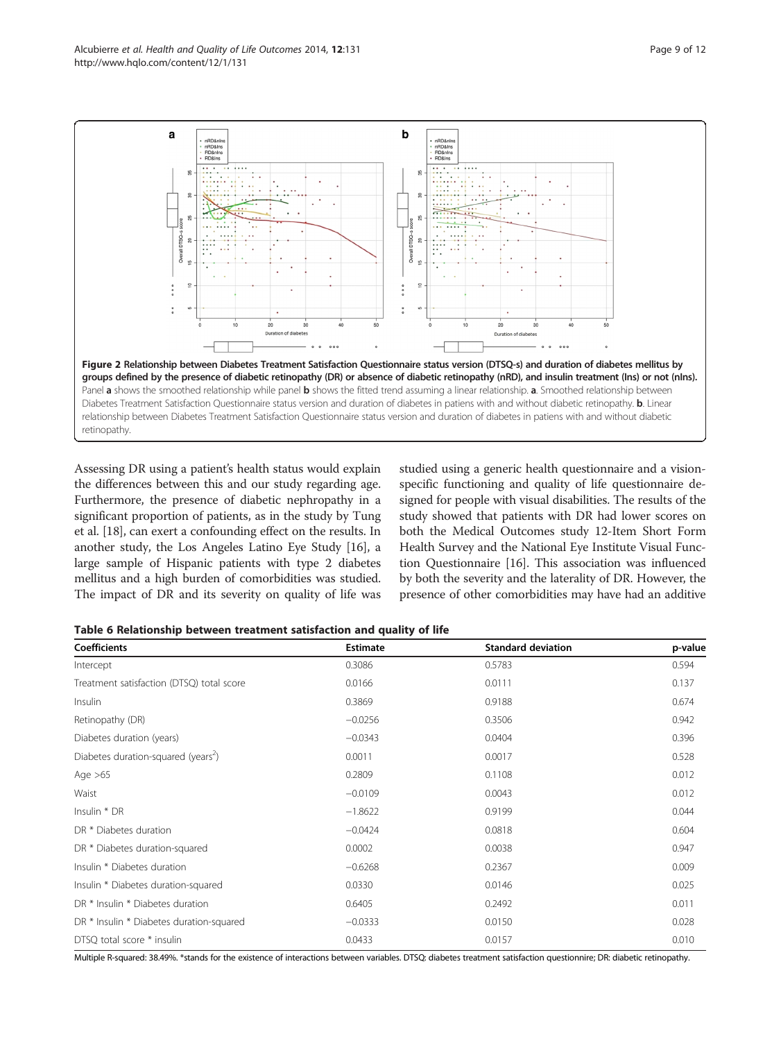<span id="page-8-0"></span>

Assessing DR using a patient's health status would explain the differences between this and our study regarding age. Furthermore, the presence of diabetic nephropathy in a significant proportion of patients, as in the study by Tung et al. [\[18\]](#page-10-0), can exert a confounding effect on the results. In another study, the Los Angeles Latino Eye Study [\[16\]](#page-10-0), a large sample of Hispanic patients with type 2 diabetes mellitus and a high burden of comorbidities was studied. The impact of DR and its severity on quality of life was studied using a generic health questionnaire and a visionspecific functioning and quality of life questionnaire designed for people with visual disabilities. The results of the study showed that patients with DR had lower scores on both the Medical Outcomes study 12-Item Short Form Health Survey and the National Eye Institute Visual Function Questionnaire [[16](#page-10-0)]. This association was influenced by both the severity and the laterality of DR. However, the presence of other comorbidities may have had an additive

| Table 6 Relationship between treatment satisfaction and quality of life |  |  |  |  |  |  |  |
|-------------------------------------------------------------------------|--|--|--|--|--|--|--|
|-------------------------------------------------------------------------|--|--|--|--|--|--|--|

| Coefficients                                    | <b>Estimate</b> | <b>Standard deviation</b> | p-value |
|-------------------------------------------------|-----------------|---------------------------|---------|
| Intercept                                       | 0.3086          | 0.5783                    | 0.594   |
| Treatment satisfaction (DTSQ) total score       | 0.0166          | 0.0111                    | 0.137   |
| Insulin                                         | 0.3869          | 0.9188                    | 0.674   |
| Retinopathy (DR)                                | $-0.0256$       | 0.3506                    | 0.942   |
| Diabetes duration (years)                       | $-0.0343$       | 0.0404                    | 0.396   |
| Diabetes duration-squared (years <sup>2</sup> ) | 0.0011          | 0.0017                    | 0.528   |
| Age $>65$                                       | 0.2809          | 0.1108                    | 0.012   |
| Waist                                           | $-0.0109$       | 0.0043                    | 0.012   |
| Insulin * DR                                    | $-1.8622$       | 0.9199                    | 0.044   |
| DR * Diabetes duration                          | $-0.0424$       | 0.0818                    | 0.604   |
| DR * Diabetes duration-squared                  | 0.0002          | 0.0038                    | 0.947   |
| Insulin * Diabetes duration                     | $-0.6268$       | 0.2367                    | 0.009   |
| Insulin * Diabetes duration-squared             | 0.0330          | 0.0146                    | 0.025   |
| DR * Insulin * Diabetes duration                | 0.6405          | 0.2492                    | 0.011   |
| DR * Insulin * Diabetes duration-squared        | $-0.0333$       | 0.0150                    | 0.028   |
| DTSQ total score * insulin                      | 0.0433          | 0.0157                    | 0.010   |

Multiple R-squared: 38.49%. \*stands for the existence of interactions between variables. DTSQ: diabetes treatment satisfaction questionnire; DR: diabetic retinopathy.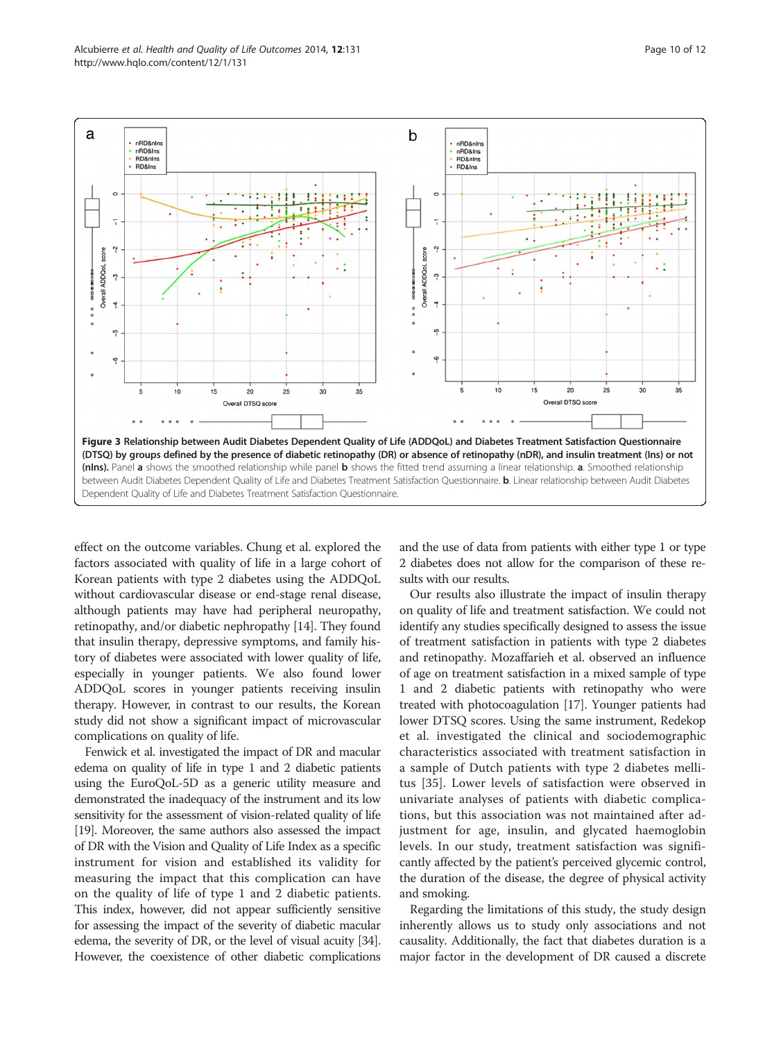<span id="page-9-0"></span>

effect on the outcome variables. Chung et al. explored the factors associated with quality of life in a large cohort of Korean patients with type 2 diabetes using the ADDQoL without cardiovascular disease or end-stage renal disease, although patients may have had peripheral neuropathy, retinopathy, and/or diabetic nephropathy [[14](#page-10-0)]. They found that insulin therapy, depressive symptoms, and family history of diabetes were associated with lower quality of life, especially in younger patients. We also found lower ADDQoL scores in younger patients receiving insulin therapy. However, in contrast to our results, the Korean study did not show a significant impact of microvascular complications on quality of life.

Fenwick et al. investigated the impact of DR and macular edema on quality of life in type 1 and 2 diabetic patients using the EuroQoL-5D as a generic utility measure and demonstrated the inadequacy of the instrument and its low sensitivity for the assessment of vision-related quality of life [[19](#page-10-0)]. Moreover, the same authors also assessed the impact of DR with the Vision and Quality of Life Index as a specific instrument for vision and established its validity for measuring the impact that this complication can have on the quality of life of type 1 and 2 diabetic patients. This index, however, did not appear sufficiently sensitive for assessing the impact of the severity of diabetic macular edema, the severity of DR, or the level of visual acuity [\[34](#page-11-0)]. However, the coexistence of other diabetic complications and the use of data from patients with either type 1 or type 2 diabetes does not allow for the comparison of these results with our results.

Our results also illustrate the impact of insulin therapy on quality of life and treatment satisfaction. We could not identify any studies specifically designed to assess the issue of treatment satisfaction in patients with type 2 diabetes and retinopathy. Mozaffarieh et al. observed an influence of age on treatment satisfaction in a mixed sample of type 1 and 2 diabetic patients with retinopathy who were treated with photocoagulation [\[17\]](#page-10-0). Younger patients had lower DTSQ scores. Using the same instrument, Redekop et al. investigated the clinical and sociodemographic characteristics associated with treatment satisfaction in a sample of Dutch patients with type 2 diabetes mellitus [[35\]](#page-11-0). Lower levels of satisfaction were observed in univariate analyses of patients with diabetic complications, but this association was not maintained after adjustment for age, insulin, and glycated haemoglobin levels. In our study, treatment satisfaction was significantly affected by the patient's perceived glycemic control, the duration of the disease, the degree of physical activity and smoking.

Regarding the limitations of this study, the study design inherently allows us to study only associations and not causality. Additionally, the fact that diabetes duration is a major factor in the development of DR caused a discrete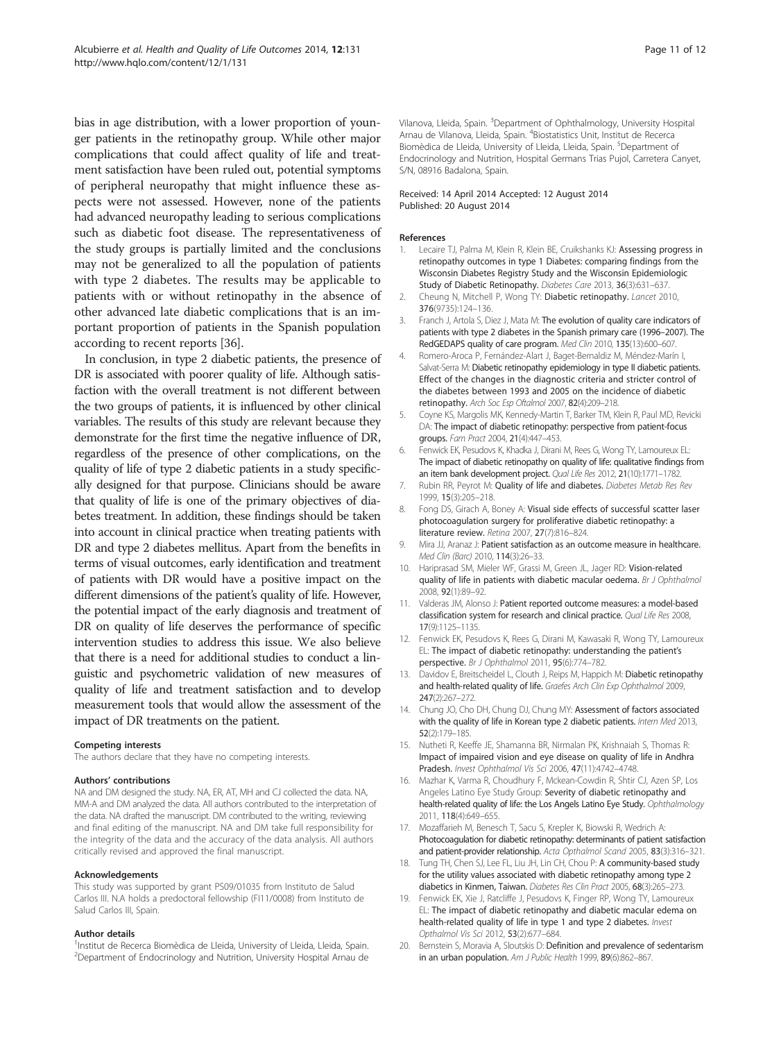<span id="page-10-0"></span>bias in age distribution, with a lower proportion of younger patients in the retinopathy group. While other major complications that could affect quality of life and treatment satisfaction have been ruled out, potential symptoms of peripheral neuropathy that might influence these aspects were not assessed. However, none of the patients had advanced neuropathy leading to serious complications such as diabetic foot disease. The representativeness of the study groups is partially limited and the conclusions may not be generalized to all the population of patients with type 2 diabetes. The results may be applicable to patients with or without retinopathy in the absence of other advanced late diabetic complications that is an important proportion of patients in the Spanish population according to recent reports [\[36\]](#page-11-0).

In conclusion, in type 2 diabetic patients, the presence of DR is associated with poorer quality of life. Although satisfaction with the overall treatment is not different between the two groups of patients, it is influenced by other clinical variables. The results of this study are relevant because they demonstrate for the first time the negative influence of DR, regardless of the presence of other complications, on the quality of life of type 2 diabetic patients in a study specifically designed for that purpose. Clinicians should be aware that quality of life is one of the primary objectives of diabetes treatment. In addition, these findings should be taken into account in clinical practice when treating patients with DR and type 2 diabetes mellitus. Apart from the benefits in terms of visual outcomes, early identification and treatment of patients with DR would have a positive impact on the different dimensions of the patient's quality of life. However, the potential impact of the early diagnosis and treatment of DR on quality of life deserves the performance of specific intervention studies to address this issue. We also believe that there is a need for additional studies to conduct a linguistic and psychometric validation of new measures of quality of life and treatment satisfaction and to develop measurement tools that would allow the assessment of the impact of DR treatments on the patient.

#### Competing interests

The authors declare that they have no competing interests.

#### Authors' contributions

NA and DM designed the study. NA, ER, AT, MH and CJ collected the data. NA, MM-A and DM analyzed the data. All authors contributed to the interpretation of the data. NA drafted the manuscript. DM contributed to the writing, reviewing and final editing of the manuscript. NA and DM take full responsibility for the integrity of the data and the accuracy of the data analysis. All authors critically revised and approved the final manuscript.

#### Acknowledgements

This study was supported by grant PS09/01035 from Instituto de Salud Carlos III. N.A holds a predoctoral fellowship (FI11/0008) from Instituto de Salud Carlos III, Spain.

#### Author details

<sup>1</sup>Institut de Recerca Biomèdica de Lleida, University of Lleida, Lleida, Spain. <sup>2</sup> Department of Endocrinology and Nutrition, University Hospital Arnau de

Vilanova, Lleida, Spain. <sup>3</sup>Department of Ophthalmology, University Hospital Arnau de Vilanova, Lleida, Spain. <sup>4</sup>Biostatistics Unit, Institut de Recerca Biomèdica de Lleida, University of Lleida, Lleida, Spain. <sup>5</sup>Department of Endocrinology and Nutrition, Hospital Germans Trias Pujol, Carretera Canyet, S/N, 08916 Badalona, Spain.

#### Received: 14 April 2014 Accepted: 12 August 2014 Published: 20 August 2014

#### References

- Lecaire TJ, Palma M, Klein R, Klein BE, Cruikshanks KJ: Assessing progress in retinopathy outcomes in type 1 Diabetes: comparing findings from the Wisconsin Diabetes Registry Study and the Wisconsin Epidemiologic Study of Diabetic Retinopathy. Diabetes Care 2013, 36(3):631–637.
- 2. Cheung N, Mitchell P, Wong TY: Diabetic retinopathy. Lancet 2010, 376(9735):124–136.
- 3. Franch J, Artola S, Diez J, Mata M: The evolution of quality care indicators of patients with type 2 diabetes in the Spanish primary care (1996–2007). The RedGEDAPS quality of care program. Med Clin 2010, 135(13):600–607.
- 4. Romero-Aroca P, Fernández-Alart J, Baget-Bernaldiz M, Méndez-Marín I, Salvat-Serra M: Diabetic retinopathy epidemiology in type II diabetic patients. Effect of the changes in the diagnostic criteria and stricter control of the diabetes between 1993 and 2005 on the incidence of diabetic retinopathy. Arch Soc Esp Oftalmol 2007, 82(4):209–218.
- 5. Coyne KS, Margolis MK, Kennedy-Martin T, Barker TM, Klein R, Paul MD, Revicki DA: The impact of diabetic retinopathy: perspective from patient-focus groups. Fam Pract 2004, 21(4):447–453.
- Fenwick EK, Pesudovs K, Khadka J, Dirani M, Rees G, Wong TY, Lamoureux EL: The impact of diabetic retinopathy on quality of life: qualitative findings from an item bank development project. Qual Life Res 2012, 21(10):1771–1782.
- 7. Rubin RR, Peyrot M: Quality of life and diabetes. Diabetes Metab Res Rev 1999, 15(3):205–218.
- 8. Fong DS, Girach A, Boney A: Visual side effects of successful scatter laser photocoagulation surgery for proliferative diabetic retinopathy: a literature review. Retina 2007, 27(7):816–824.
- 9. Mira JJ, Aranaz J: Patient satisfaction as an outcome measure in healthcare. Med Clin (Barc) 2010, 114(3):26–33.
- 10. Hariprasad SM, Mieler WF, Grassi M, Green JL, Jager RD: Vision-related quality of life in patients with diabetic macular oedema. Br J Ophthalmol 2008, 92(1):89–92.
- 11. Valderas JM, Alonso J: Patient reported outcome measures: a model-based classification system for research and clinical practice. Qual Life Res 2008, 17(9):1125–1135.
- 12. Fenwick EK, Pesudovs K, Rees G, Dirani M, Kawasaki R, Wong TY, Lamoureux EL: The impact of diabetic retinopathy: understanding the patient's perspective. Br J Ophthalmol 2011, 95(6):774–782.
- 13. Davidov E, Breitscheidel L, Clouth J, Reips M, Happich M: Diabetic retinopathy and health-related quality of life. Graefes Arch Clin Exp Ophthalmol 2009, 247(2):267–272.
- 14. Chung JO, Cho DH, Chung DJ, Chung MY: Assessment of factors associated with the quality of life in Korean type 2 diabetic patients. Intern Med 2013, 52(2):179–185.
- 15. Nutheti R, Keeffe JE, Shamanna BR, Nirmalan PK, Krishnaiah S, Thomas R: Impact of impaired vision and eye disease on quality of life in Andhra Pradesh. Invest Ophthalmol Vis Sci 2006, 47(11):4742–4748.
- 16. Mazhar K, Varma R, Choudhury F, Mckean-Cowdin R, Shtir CJ, Azen SP, Los Angeles Latino Eye Study Group: Severity of diabetic retinopathy and health-related quality of life: the Los Angels Latino Eye Study. Ophthalmology 2011, 118(4):649–655.
- 17. Mozaffarieh M, Benesch T, Sacu S, Krepler K, Biowski R, Wedrich A: Photocoagulation for diabetic retinopathy: determinants of patient satisfaction and patient-provider relationship. Acta Opthalmol Scand 2005, 83(3):316–321.
- 18. Tung TH, Chen SJ, Lee FL, Liu JH, Lin CH, Chou P: A community-based study for the utility values associated with diabetic retinopathy among type 2 diabetics in Kinmen, Taiwan. Diabetes Res Clin Pract 2005, 68(3):265–273.
- 19. Fenwick EK, Xie J, Ratcliffe J, Pesudovs K, Finger RP, Wong TY, Lamoureux EL: The impact of diabetic retinopathy and diabetic macular edema on health-related quality of life in type 1 and type 2 diabetes. Invest Opthalmol Vis Sci 2012, 53(2):677–684.
- 20. Bernstein S, Moravia A, Sloutskis D: Definition and prevalence of sedentarism in an urban population. Am J Public Health 1999, 89(6):862-867.